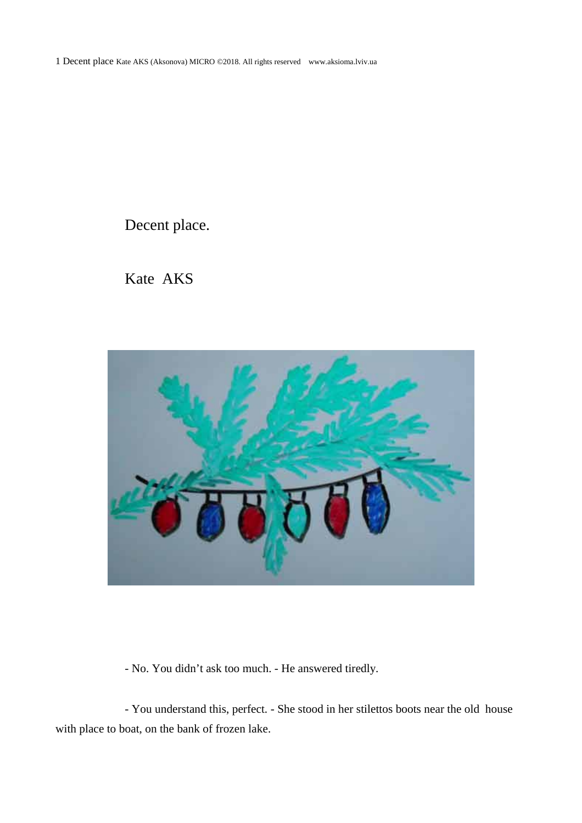1 Decent place Kate AKS (Aksonova) MICRO ©2018. All rights reserved www.aksioma.lviv.ua

Decent place.

Kate AKS



- No. You didn't ask too much. - He answered tiredly.

- You understand this, perfect. - She stood in her stilettos boots near the old house with place to boat, on the bank of frozen lake.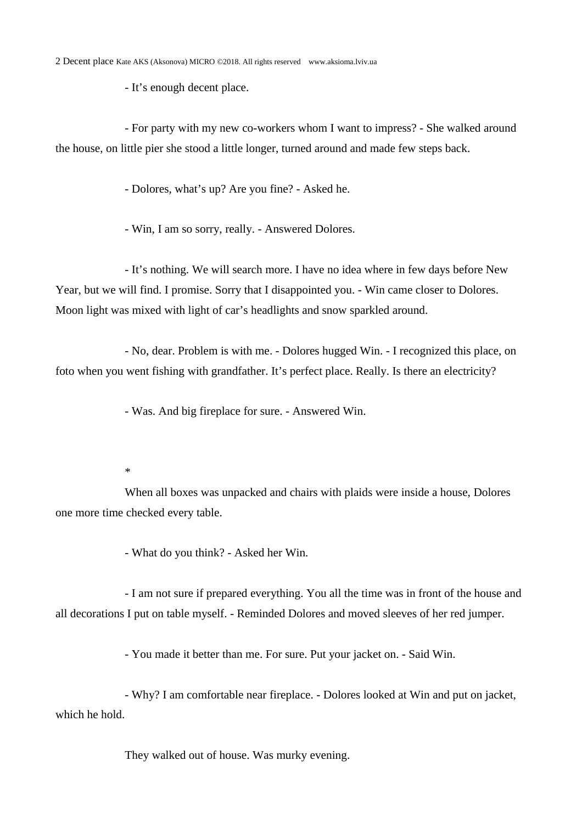- It's enough decent place.

- For party with my new co-workers whom I want to impress? - She walked around the house, on little pier she stood a little longer, turned around and made few steps back.

- Dolores, what's up? Are you fine? - Asked he.

- Win, I am so sorry, really. - Answered Dolores.

- It's nothing. We will search more. I have no idea where in few days before New Year, but we will find. I promise. Sorry that I disappointed you. - Win came closer to Dolores. Moon light was mixed with light of car's headlights and snow sparkled around.

- No, dear. Problem is with me. - Dolores hugged Win. - I recognized this place, on foto when you went fishing with grandfather. It's perfect place. Really. Is there an electricity?

- Was. And big fireplace for sure. - Answered Win.

\*

When all boxes was unpacked and chairs with plaids were inside a house, Dolores one more time checked every table.

- What do you think? - Asked her Win.

- I am not sure if prepared everything. You all the time was in front of the house and all decorations I put on table myself. - Reminded Dolores and moved sleeves of her red jumper.

- You made it better than me. For sure. Put your jacket on. - Said Win.

- Why? I am comfortable near fireplace. - Dolores looked at Win and put on jacket, which he hold.

They walked out of house. Was murky evening.